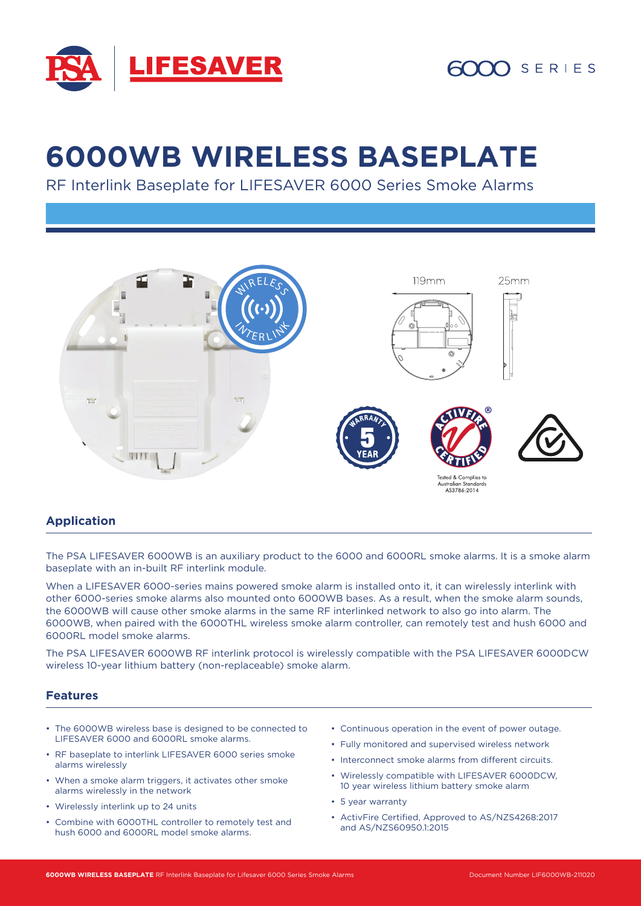

# **6000WB WIRELESS BASEPLATE**

RF Interlink Baseplate for LIFESAVER 6000 Series Smoke Alarms



#### **Application**

The PSA LIFESAVER 6000WB is an auxiliary product to the 6000 and 6000RL smoke alarms. It is a smoke alarm baseplate with an in-built RF interlink module.

When a LIFESAVER 6000-series mains powered smoke alarm is installed onto it, it can wirelessly interlink with other 6000-series smoke alarms also mounted onto 6000WB bases. As a result, when the smoke alarm sounds, the 6000WB will cause other smoke alarms in the same RF interlinked network to also go into alarm. The 6000WB, when paired with the 6000THL wireless smoke alarm controller, can remotely test and hush 6000 and 6000RL model smoke alarms.

The PSA LIFESAVER 6000WB RF interlink protocol is wirelessly compatible with the PSA LIFESAVER 6000DCW wireless 10-year lithium battery (non-replaceable) smoke alarm.

#### **Features**

- The 6000WB wireless base is designed to be connected to LIFESAVER 6000 and 6000RL smoke alarms.
- RF baseplate to interlink LIFESAVER 6000 series smoke alarms wirelessly
- When a smoke alarm triggers, it activates other smoke alarms wirelessly in the network
- Wirelessly interlink up to 24 units
- Combine with 6000THL controller to remotely test and hush 6000 and 6000RL model smoke alarms.
- Continuous operation in the event of power outage.
- Fully monitored and supervised wireless network
- Interconnect smoke alarms from different circuits.
- Wirelessly compatible with LIFESAVER 6000DCW, 10 year wireless lithium battery smoke alarm
- 5 year warranty
- ActivFire Certified, Approved to AS/NZS4268:2017 and AS/NZS60950.1:2015